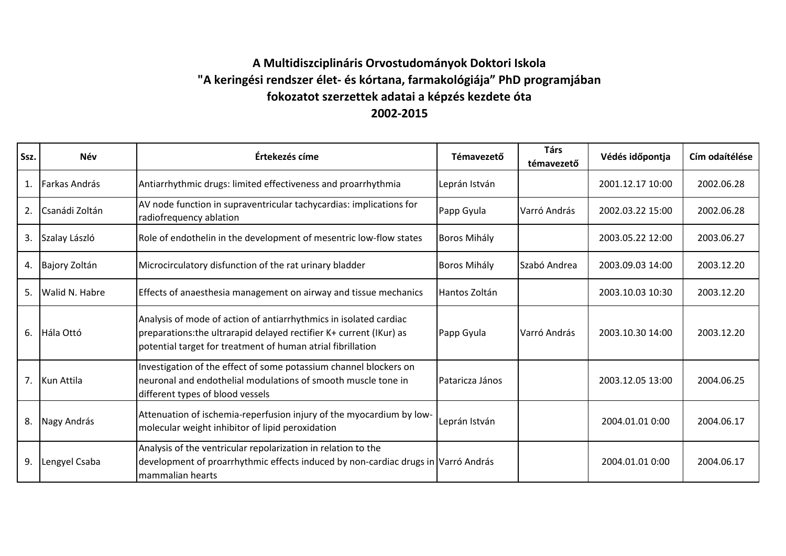## **A Multidiszciplináris Orvostudományok Doktori Iskola "A keringési rendszer élet- és kórtana, farmakológiája" PhD programjában fokozatot szerzettek adatai a képzés kezdete óta 2002-2015**

| Ssz. | <b>Név</b>     | Értekezés címe                                                                                                                                                                                          | Témavezető          | <b>Társ</b><br>témavezető | Védés időpontja  | Cím odaítélése |
|------|----------------|---------------------------------------------------------------------------------------------------------------------------------------------------------------------------------------------------------|---------------------|---------------------------|------------------|----------------|
| 1.   | Farkas András  | Antiarrhythmic drugs: limited effectiveness and proarrhythmia                                                                                                                                           | Leprán István       |                           | 2001.12.17 10:00 | 2002.06.28     |
| 2.   | Csanádi Zoltán | AV node function in supraventricular tachycardias: implications for<br>radiofrequency ablation                                                                                                          | Papp Gyula          | Varró András              | 2002.03.22 15:00 | 2002.06.28     |
| 3.   | Szalay László  | Role of endothelin in the development of mesentric low-flow states                                                                                                                                      | <b>Boros Mihály</b> |                           | 2003.05.22 12:00 | 2003.06.27     |
| 4.   | Bajory Zoltán  | Microcirculatory disfunction of the rat urinary bladder                                                                                                                                                 | <b>Boros Mihály</b> | Szabó Andrea              | 2003.09.03 14:00 | 2003.12.20     |
| 5.   | Walid N. Habre | Effects of anaesthesia management on airway and tissue mechanics                                                                                                                                        | Hantos Zoltán       |                           | 2003.10.03 10:30 | 2003.12.20     |
|      | 6. Hála Ottó   | Analysis of mode of action of antiarrhythmics in isolated cardiac<br>preparations: the ultrarapid delayed rectifier K+ current (IKur) as<br>potential target for treatment of human atrial fibrillation | Papp Gyula          | Varró András              | 2003.10.30 14:00 | 2003.12.20     |
|      | 7. Kun Attila  | Investigation of the effect of some potassium channel blockers on<br>neuronal and endothelial modulations of smooth muscle tone in<br>different types of blood vessels                                  | Pataricza János     |                           | 2003.12.05 13:00 | 2004.06.25     |
| 8.   | Nagy András    | Attenuation of ischemia-reperfusion injury of the myocardium by low-<br>molecular weight inhibitor of lipid peroxidation                                                                                | Leprán István       |                           | 2004.01.01 0:00  | 2004.06.17     |
| 9.   | Lengyel Csaba  | Analysis of the ventricular repolarization in relation to the<br>development of proarrhythmic effects induced by non-cardiac drugs in Varró András<br>mammalian hearts                                  |                     |                           | 2004.01.01 0:00  | 2004.06.17     |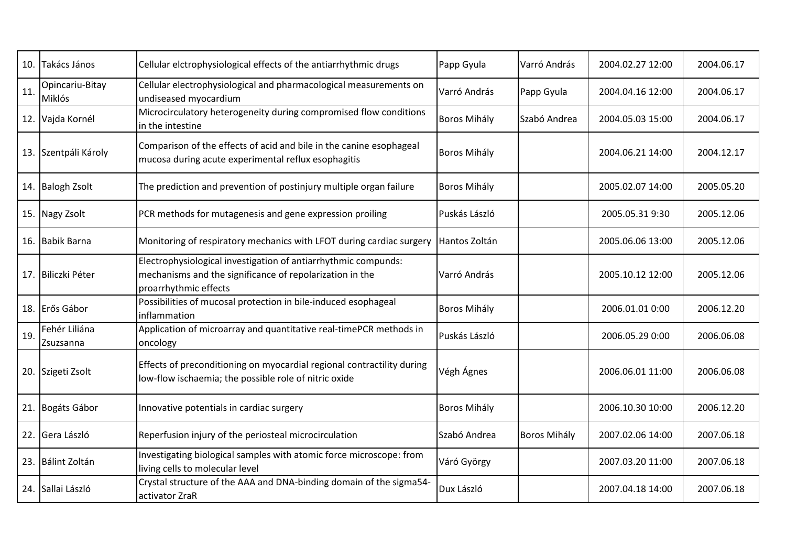|     | 10. Takács János           | Cellular elctrophysiological effects of the antiarrhythmic drugs                                                                                    | Papp Gyula          | Varró András        | 2004.02.27 12:00 | 2004.06.17 |
|-----|----------------------------|-----------------------------------------------------------------------------------------------------------------------------------------------------|---------------------|---------------------|------------------|------------|
| 11. | Opincariu-Bitay<br>Miklós  | Cellular electrophysiological and pharmacological measurements on<br>undiseased myocardium                                                          | Varró András        | Papp Gyula          | 2004.04.16 12:00 | 2004.06.17 |
|     | 12. Vajda Kornél           | Microcirculatory heterogeneity during compromised flow conditions<br>in the intestine                                                               | <b>Boros Mihály</b> | Szabó Andrea        | 2004.05.03 15:00 | 2004.06.17 |
|     | 13. Szentpáli Károly       | Comparison of the effects of acid and bile in the canine esophageal<br>mucosa during acute experimental reflux esophagitis                          | Boros Mihály        |                     | 2004.06.21 14:00 | 2004.12.17 |
|     | 14. Balogh Zsolt           | The prediction and prevention of postinjury multiple organ failure                                                                                  | <b>Boros Mihály</b> |                     | 2005.02.07 14:00 | 2005.05.20 |
|     | 15. Nagy Zsolt             | PCR methods for mutagenesis and gene expression proiling                                                                                            | Puskás László       |                     | 2005.05.31 9:30  | 2005.12.06 |
|     | 16. Babik Barna            | Monitoring of respiratory mechanics with LFOT during cardiac surgery                                                                                | Hantos Zoltán       |                     | 2005.06.06 13:00 | 2005.12.06 |
|     | 17. Biliczki Péter         | Electrophysiological investigation of antiarrhythmic compunds:<br>mechanisms and the significance of repolarization in the<br>proarrhythmic effects | Varró András        |                     | 2005.10.12 12:00 | 2005.12.06 |
|     | 18. Erős Gábor             | Possibilities of mucosal protection in bile-induced esophageal<br>inflammation                                                                      | <b>Boros Mihály</b> |                     | 2006.01.01 0:00  | 2006.12.20 |
| 19. | Fehér Liliána<br>Zsuzsanna | Application of microarray and quantitative real-timePCR methods in<br>oncology                                                                      | Puskás László       |                     | 2006.05.29 0:00  | 2006.06.08 |
|     | 20. Szigeti Zsolt          | Effects of preconditioning on myocardial regional contractility during<br>low-flow ischaemia; the possible role of nitric oxide                     | Végh Ágnes          |                     | 2006.06.01 11:00 | 2006.06.08 |
|     | 21. Bogáts Gábor           | Innovative potentials in cardiac surgery                                                                                                            | <b>Boros Mihály</b> |                     | 2006.10.30 10:00 | 2006.12.20 |
| 22. | Gera László                | Reperfusion injury of the periosteal microcirculation                                                                                               | Szabó Andrea        | <b>Boros Mihály</b> | 2007.02.06 14:00 | 2007.06.18 |
|     | 23. Bálint Zoltán          | Investigating biological samples with atomic force microscope: from<br>living cells to molecular level                                              | Váró György         |                     | 2007.03.20 11:00 | 2007.06.18 |
|     | 24. Sallai László          | Crystal structure of the AAA and DNA-binding domain of the sigma54-<br>activator ZraR                                                               | Dux László          |                     | 2007.04.18 14:00 | 2007.06.18 |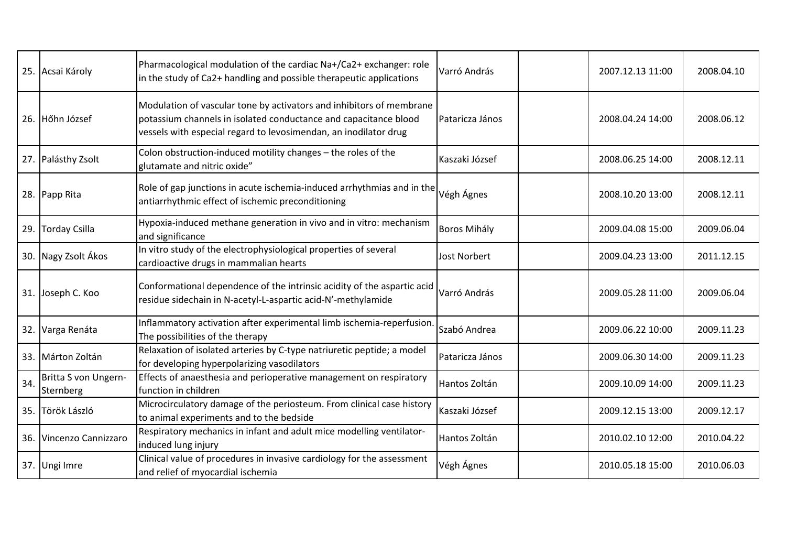|      | 25. Acsai Károly                  | Pharmacological modulation of the cardiac Na+/Ca2+ exchanger: role<br>in the study of Ca2+ handling and possible therapeutic applications                                                                    | Varró András        | 2007.12.13 11:00 | 2008.04.10 |
|------|-----------------------------------|--------------------------------------------------------------------------------------------------------------------------------------------------------------------------------------------------------------|---------------------|------------------|------------|
|      | 26. Hőhn József                   | Modulation of vascular tone by activators and inhibitors of membrane<br>potassium channels in isolated conductance and capacitance blood<br>vessels with especial regard to levosimendan, an inodilator drug | Pataricza János     | 2008.04.24 14:00 | 2008.06.12 |
|      | 27. Palásthy Zsolt                | Colon obstruction-induced motility changes - the roles of the<br>glutamate and nitric oxide"                                                                                                                 | Kaszaki József      | 2008.06.25 14:00 | 2008.12.11 |
|      | 28. Papp Rita                     | Role of gap junctions in acute ischemia-induced arrhythmias and in the<br>antiarrhythmic effect of ischemic preconditioning                                                                                  | Végh Ágnes          | 2008.10.20 13:00 | 2008.12.11 |
| 29.  | <b>Torday Csilla</b>              | Hypoxia-induced methane generation in vivo and in vitro: mechanism<br>and significance                                                                                                                       | <b>Boros Mihály</b> | 2009.04.08 15:00 | 2009.06.04 |
|      | 30. Nagy Zsolt Ákos               | In vitro study of the electrophysiological properties of several<br>cardioactive drugs in mammalian hearts                                                                                                   | <b>Jost Norbert</b> | 2009.04.23 13:00 | 2011.12.15 |
|      | 31. Joseph C. Koo                 | Conformational dependence of the intrinsic acidity of the aspartic acid<br>residue sidechain in N-acetyl-L-aspartic acid-N'-methylamide                                                                      | Varró András        | 2009.05.28 11:00 | 2009.06.04 |
|      | 32. Varga Renáta                  | Inflammatory activation after experimental limb ischemia-reperfusion.<br>The possibilities of the therapy                                                                                                    | Szabó Andrea        | 2009.06.22 10:00 | 2009.11.23 |
|      | 33. Márton Zoltán                 | Relaxation of isolated arteries by C-type natriuretic peptide; a model<br>for developing hyperpolarizing vasodilators                                                                                        | Pataricza János     | 2009.06.30 14:00 | 2009.11.23 |
| 34.  | Britta S von Ungern-<br>Sternberg | Effects of anaesthesia and perioperative management on respiratory<br>function in children                                                                                                                   | Hantos Zoltán       | 2009.10.09 14:00 | 2009.11.23 |
| 35.1 | Török László                      | Microcirculatory damage of the periosteum. From clinical case history<br>to animal experiments and to the bedside                                                                                            | Kaszaki József      | 2009.12.15 13:00 | 2009.12.17 |
|      | 36. Vincenzo Cannizzaro           | Respiratory mechanics in infant and adult mice modelling ventilator-<br>induced lung injury                                                                                                                  | Hantos Zoltán       | 2010.02.10 12:00 | 2010.04.22 |
|      | 37. Ungi Imre                     | Clinical value of procedures in invasive cardiology for the assessment<br>and relief of myocardial ischemia                                                                                                  | Végh Ágnes          | 2010.05.18 15:00 | 2010.06.03 |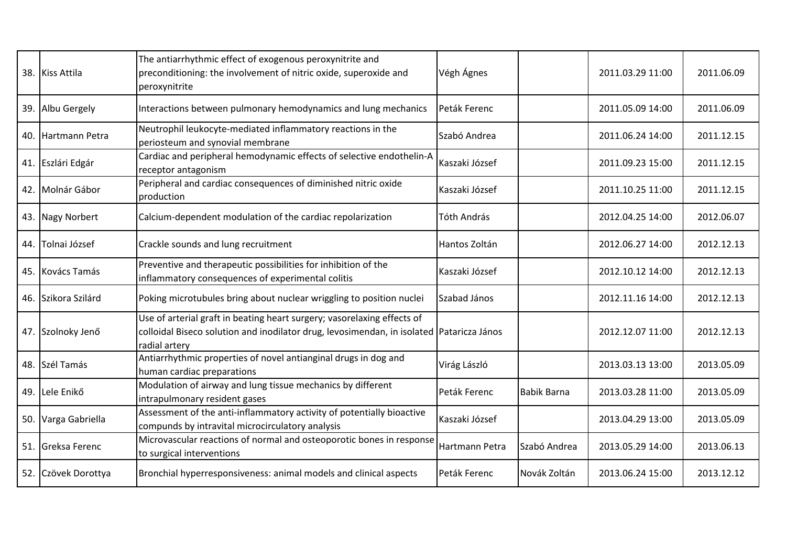|     | 38. Kiss Attila     | The antiarrhythmic effect of exogenous peroxynitrite and<br>preconditioning: the involvement of nitric oxide, superoxide and<br>peroxynitrite                                        | Végh Ágnes     |              | 2011.03.29 11:00 | 2011.06.09 |
|-----|---------------------|--------------------------------------------------------------------------------------------------------------------------------------------------------------------------------------|----------------|--------------|------------------|------------|
|     | 39. Albu Gergely    | Interactions between pulmonary hemodynamics and lung mechanics                                                                                                                       | Peták Ferenc   |              | 2011.05.09 14:00 | 2011.06.09 |
|     | 40. Hartmann Petra  | Neutrophil leukocyte-mediated inflammatory reactions in the<br>periosteum and synovial membrane                                                                                      | Szabó Andrea   |              | 2011.06.24 14:00 | 2011.12.15 |
|     | 41. Eszlári Edgár   | Cardiac and peripheral hemodynamic effects of selective endothelin-A<br>receptor antagonism                                                                                          | Kaszaki József |              | 2011.09.23 15:00 | 2011.12.15 |
|     | 42. Molnár Gábor    | Peripheral and cardiac consequences of diminished nitric oxide<br>production                                                                                                         | Kaszaki József |              | 2011.10.25 11:00 | 2011.12.15 |
|     | 43. Nagy Norbert    | Calcium-dependent modulation of the cardiac repolarization                                                                                                                           | Tóth András    |              | 2012.04.25 14:00 | 2012.06.07 |
| 44. | Tolnai József       | Crackle sounds and lung recruitment                                                                                                                                                  | Hantos Zoltán  |              | 2012.06.27 14:00 | 2012.12.13 |
|     | 45. Kovács Tamás    | Preventive and therapeutic possibilities for inhibition of the<br>inflammatory consequences of experimental colitis                                                                  | Kaszaki József |              | 2012.10.12 14:00 | 2012.12.13 |
|     | 46. Szikora Szilárd | Poking microtubules bring about nuclear wriggling to position nuclei                                                                                                                 | Szabad János   |              | 2012.11.16 14:00 | 2012.12.13 |
|     | 47. Szolnoky Jenő   | Use of arterial graft in beating heart surgery; vasorelaxing effects of<br>colloidal Biseco solution and inodilator drug, levosimendan, in isolated Pataricza János<br>radial artery |                |              | 2012.12.07 11:00 | 2012.12.13 |
|     | 48. Szél Tamás      | Antiarrhythmic properties of novel antianginal drugs in dog and<br>human cardiac preparations                                                                                        | Virág László   |              | 2013.03.13 13:00 | 2013.05.09 |
|     | 49. Lele Enikő      | Modulation of airway and lung tissue mechanics by different<br>intrapulmonary resident gases                                                                                         | Peták Ferenc   | Babik Barna  | 2013.03.28 11:00 | 2013.05.09 |
|     | 50. Varga Gabriella | Assessment of the anti-inflammatory activity of potentially bioactive<br>compunds by intravital microcirculatory analysis                                                            | Kaszaki József |              | 2013.04.29 13:00 | 2013.05.09 |
|     | 51. Greksa Ferenc   | Microvascular reactions of normal and osteoporotic bones in response<br>to surgical interventions                                                                                    | Hartmann Petra | Szabó Andrea | 2013.05.29 14:00 | 2013.06.13 |
|     | 52. Czövek Dorottya | Bronchial hyperresponsiveness: animal models and clinical aspects                                                                                                                    | Peták Ferenc   | Novák Zoltán | 2013.06.24 15:00 | 2013.12.12 |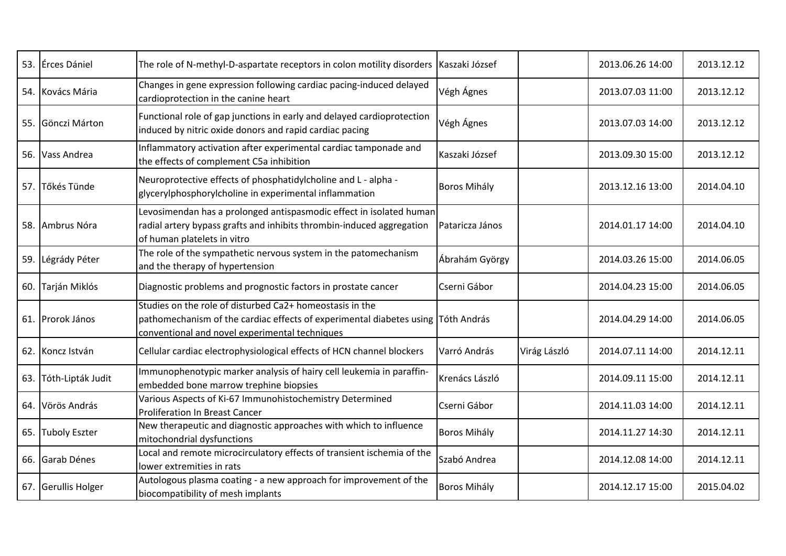|     | 53. Erces Dániel     | The role of N-methyl-D-aspartate receptors in colon motility disorders   Kaszaki József                                                                                                        |                     |              | 2013.06.26 14:00 | 2013.12.12 |
|-----|----------------------|------------------------------------------------------------------------------------------------------------------------------------------------------------------------------------------------|---------------------|--------------|------------------|------------|
|     | 54. Kovács Mária     | Changes in gene expression following cardiac pacing-induced delayed<br>cardioprotection in the canine heart                                                                                    | Végh Ágnes          |              | 2013.07.03 11:00 | 2013.12.12 |
|     | 55. Gönczi Márton    | Functional role of gap junctions in early and delayed cardioprotection<br>induced by nitric oxide donors and rapid cardiac pacing                                                              | Végh Ágnes          |              | 2013.07.03 14:00 | 2013.12.12 |
|     | 56. Vass Andrea      | Inflammatory activation after experimental cardiac tamponade and<br>the effects of complement C5a inhibition                                                                                   | Kaszaki József      |              | 2013.09.30 15:00 | 2013.12.12 |
|     | 57. Tőkés Tünde      | Neuroprotective effects of phosphatidylcholine and L - alpha -<br>glycerylphosphorylcholine in experimental inflammation                                                                       | <b>Boros Mihály</b> |              | 2013.12.16 13:00 | 2014.04.10 |
|     | 58. Ambrus Nóra      | Levosimendan has a prolonged antispasmodic effect in isolated human<br>radial artery bypass grafts and inhibits thrombin-induced aggregation<br>of human platelets in vitro                    | Pataricza János     |              | 2014.01.17 14:00 | 2014.04.10 |
|     | 59. Légrády Péter    | The role of the sympathetic nervous system in the patomechanism<br>and the therapy of hypertension                                                                                             | Ábrahám György      |              | 2014.03.26 15:00 | 2014.06.05 |
| 60. | Tarján Miklós        | Diagnostic problems and prognostic factors in prostate cancer                                                                                                                                  | Cserni Gábor        |              | 2014.04.23 15:00 | 2014.06.05 |
|     | 61. Prorok János     | Studies on the role of disturbed Ca2+ homeostasis in the<br>pathomechanism of the cardiac effects of experimental diabetes using Tóth András<br>conventional and novel experimental techniques |                     |              | 2014.04.29 14:00 | 2014.06.05 |
|     | 62. Koncz István     | Cellular cardiac electrophysiological effects of HCN channel blockers                                                                                                                          | Varró András        | Virág László | 2014.07.11 14:00 | 2014.12.11 |
| 63. | Tóth-Lipták Judit    | Immunophenotypic marker analysis of hairy cell leukemia in paraffin-<br>embedded bone marrow trephine biopsies                                                                                 | Krenács László      |              | 2014.09.11 15:00 | 2014.12.11 |
|     | 64. Vörös András     | Various Aspects of Ki-67 Immunohistochemistry Determined<br><b>Proliferation In Breast Cancer</b>                                                                                              | Cserni Gábor        |              | 2014.11.03 14:00 | 2014.12.11 |
| 65. | <b>Tuboly Eszter</b> | New therapeutic and diagnostic approaches with which to influence<br>mitochondrial dysfunctions                                                                                                | <b>Boros Mihály</b> |              | 2014.11.27 14:30 | 2014.12.11 |
|     | 66. Garab Dénes      | Local and remote microcirculatory effects of transient ischemia of the<br>lower extremities in rats                                                                                            | Szabó Andrea        |              | 2014.12.08 14:00 | 2014.12.11 |
|     | 67. Gerullis Holger  | Autologous plasma coating - a new approach for improvement of the<br>biocompatibility of mesh implants                                                                                         | <b>Boros Mihály</b> |              | 2014.12.17 15:00 | 2015.04.02 |